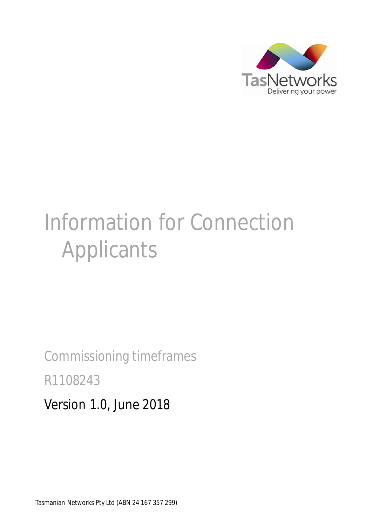

# Information for Connection Applicants

Commissioning timeframes R1108243 Version 1.0, June 2018

Tasmanian Networks Pty Ltd (ABN 24 167 357 299)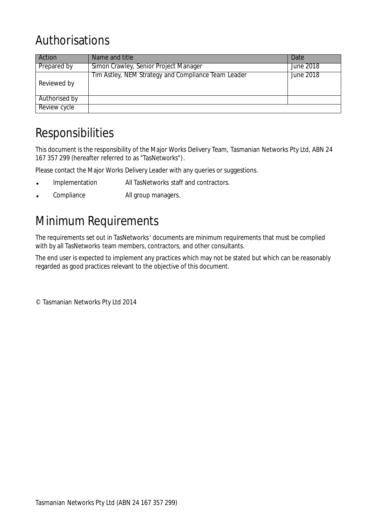## Authorisations

| Action        | Name and title                                      | Date             |
|---------------|-----------------------------------------------------|------------------|
| Prepared by   | Simon Crawley, Senior Project Manager               | <b>June 2018</b> |
| Reviewed by   | Tim Astley, NEM Strategy and Compliance Team Leader | June 2018        |
| Authorised by |                                                     |                  |
| Review cycle  |                                                     |                  |

### Responsibilities

This document is the responsibility of the Major Works Delivery Team, Tasmanian Networks Pty Ltd, ABN 24 167 357 299 (hereafter referred to as "TasNetworks").

Please contact the Major Works Delivery Leader with any queries or suggestions.

- Implementation All TasNetworks staff and contractors.
- Compliance **All group managers.**

## Minimum Requirements

The requirements set out in TasNetworks' documents are minimum requirements that must be complied with by all TasNetworks team members, contractors, and other consultants.

The end user is expected to implement any practices which may not be stated but which can be reasonably regarded as good practices relevant to the objective of this document.

© Tasmanian Networks Pty Ltd 2014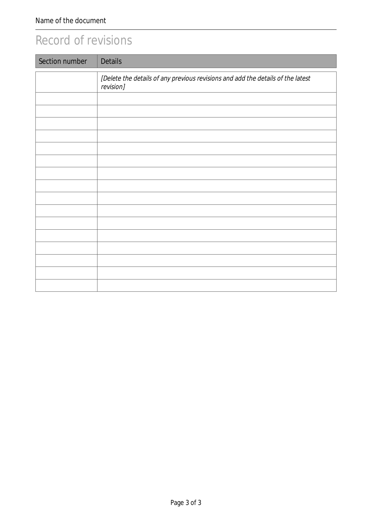## Record of revisions

| Section number | <b>Details</b>                                                                               |
|----------------|----------------------------------------------------------------------------------------------|
|                | [Delete the details of any previous revisions and add the details of the latest<br>revision] |
|                |                                                                                              |
|                |                                                                                              |
|                |                                                                                              |
|                |                                                                                              |
|                |                                                                                              |
|                |                                                                                              |
|                |                                                                                              |
|                |                                                                                              |
|                |                                                                                              |
|                |                                                                                              |
|                |                                                                                              |
|                |                                                                                              |
|                |                                                                                              |
|                |                                                                                              |
|                |                                                                                              |
|                |                                                                                              |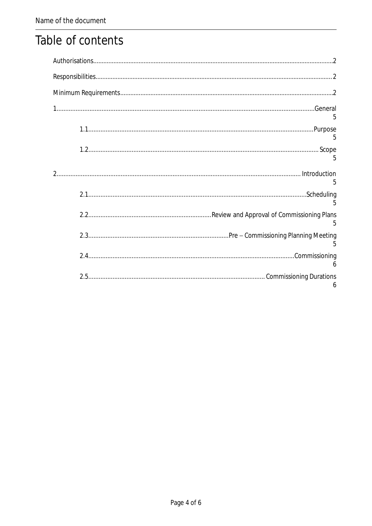## Table of contents

| 5 |
|---|
| 5 |
| 5 |
| 5 |
| 5 |
| 5 |
|   |
| 6 |
| 6 |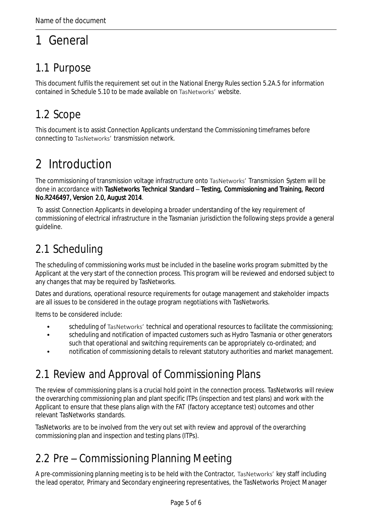# 1 General

#### 1.1 Purpose

This document fulfils the requirement set out in the National Energy Rules section 5.2A.5 for information contained in Schedule 5.10 to be made available on TasNetworks' website.

#### 1.2 Scope

This document is to assist Connection Applicants understand the Commissioning timeframes before connecting to TasNetworks' transmission network.

## 2 Introduction

The commissioning of transmission voltage infrastructure onto TasNetworks' Transmission System will be done in accordance with TasNetworks Technical Standard – Testing, Commissioning and Training, Record No.R246497, Version 2.0, August 2014.

 To assist Connection Applicants in developing a broader understanding of the key requirement of commissioning of electrical infrastructure in the Tasmanian jurisdiction the following steps provide a general guideline.

#### 2.1 Scheduling

The scheduling of commissioning works must be included in the baseline works program submitted by the Applicant at the very start of the connection process. This program will be reviewed and endorsed subject to any changes that may be required by TasNetworks.

Dates and durations, operational resource requirements for outage management and stakeholder impacts are all issues to be considered in the outage program negotiations with TasNetworks.

Items to be considered include:

- scheduling of TasNetworks' technical and operational resources to facilitate the commissioning;
- scheduling and notification of impacted customers such as Hydro Tasmania or other generators such that operational and switching requirements can be appropriately co-ordinated; and
- notification of commissioning details to relevant statutory authorities and market management.

#### 2.1 Review and Approval of Commissioning Plans

The review of commissioning plans is a crucial hold point in the connection process. TasNetworks will review the overarching commissioning plan and plant specific ITPs (inspection and test plans) and work with the Applicant to ensure that these plans align with the FAT (factory acceptance test) outcomes and other relevant TasNetworks standards.

TasNetworks are to be involved from the very out set with review and approval of the overarching commissioning plan and inspection and testing plans (ITPs).

## 2.2 Pre – Commissioning Planning Meeting

A pre-commissioning planning meeting is to be held with the Contractor, TasNetworks' key staff including the lead operator, Primary and Secondary engineering representatives, the TasNetworks Project Manager